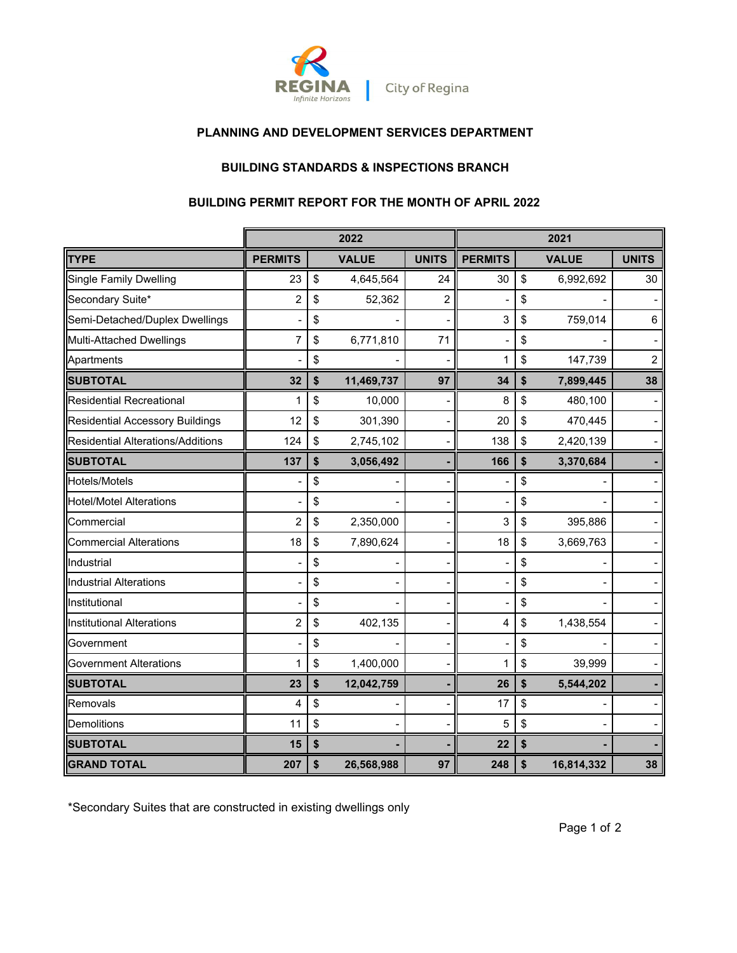

## **PLANNING AND DEVELOPMENT SERVICES DEPARTMENT**

# **BUILDING STANDARDS & INSPECTIONS BRANCH**

#### **BUILDING PERMIT REPORT FOR THE MONTH OF APRIL 2022**

|                                          | 2022           |    |              |                | 2021           |    |              |                |
|------------------------------------------|----------------|----|--------------|----------------|----------------|----|--------------|----------------|
| TYPE                                     | <b>PERMITS</b> |    | <b>VALUE</b> | <b>UNITS</b>   | <b>PERMITS</b> |    | <b>VALUE</b> | <b>UNITS</b>   |
| <b>Single Family Dwelling</b>            | 23             | \$ | 4,645,564    | 24             | 30             | \$ | 6,992,692    | 30             |
| Secondary Suite*                         | $\overline{2}$ | \$ | 52,362       | $\overline{c}$ |                | \$ |              |                |
| Semi-Detached/Duplex Dwellings           |                | \$ |              |                | 3              | \$ | 759,014      | 6              |
| Multi-Attached Dwellings                 | 7              | \$ | 6,771,810    | 71             |                | \$ |              |                |
| Apartments                               |                | \$ |              |                | 1              | \$ | 147,739      | $\overline{c}$ |
| <b>SUBTOTAL</b>                          | 32             | \$ | 11,469,737   | 97             | 34             | \$ | 7,899,445    | 38             |
| <b>Residential Recreational</b>          | 1              | \$ | 10,000       |                | 8              | \$ | 480,100      |                |
| <b>Residential Accessory Buildings</b>   | 12             | \$ | 301,390      |                | 20             | \$ | 470,445      |                |
| <b>Residential Alterations/Additions</b> | 124            | \$ | 2,745,102    |                | 138            | \$ | 2,420,139    |                |
| <b>SUBTOTAL</b>                          | 137            | \$ | 3,056,492    |                | 166            | \$ | 3,370,684    |                |
| Hotels/Motels                            |                | \$ |              |                |                | \$ |              |                |
| <b>Hotel/Motel Alterations</b>           |                | \$ |              |                |                | \$ |              |                |
| Commercial                               | 2              | \$ | 2,350,000    |                | 3              | \$ | 395,886      |                |
| <b>Commercial Alterations</b>            | 18             | \$ | 7,890,624    |                | 18             | \$ | 3,669,763    |                |
| Industrial                               |                | \$ |              |                |                | \$ |              |                |
| Industrial Alterations                   |                | \$ |              |                |                | \$ |              |                |
| Institutional                            |                | \$ |              |                |                | \$ |              |                |
| Institutional Alterations                | 2              | \$ | 402,135      |                | 4              | \$ | 1,438,554    |                |
| Government                               |                | \$ |              |                |                | \$ |              |                |
| <b>Government Alterations</b>            | 1              | \$ | 1,400,000    |                | 1              | \$ | 39,999       |                |
| <b>SUBTOTAL</b>                          | 23             | \$ | 12,042,759   |                | 26             | \$ | 5,544,202    |                |
| Removals                                 | 4              | \$ |              |                | 17             | \$ |              |                |
| Demolitions                              | 11             | \$ |              |                | 5              | \$ |              |                |
| <b>SUBTOTAL</b>                          | 15             | \$ |              |                | 22             | \$ |              |                |
| <b>GRAND TOTAL</b>                       | 207            | \$ | 26,568,988   | 97             | 248            | \$ | 16,814,332   | 38             |

\*Secondary Suites that are constructed in existing dwellings only

Page 1 of 2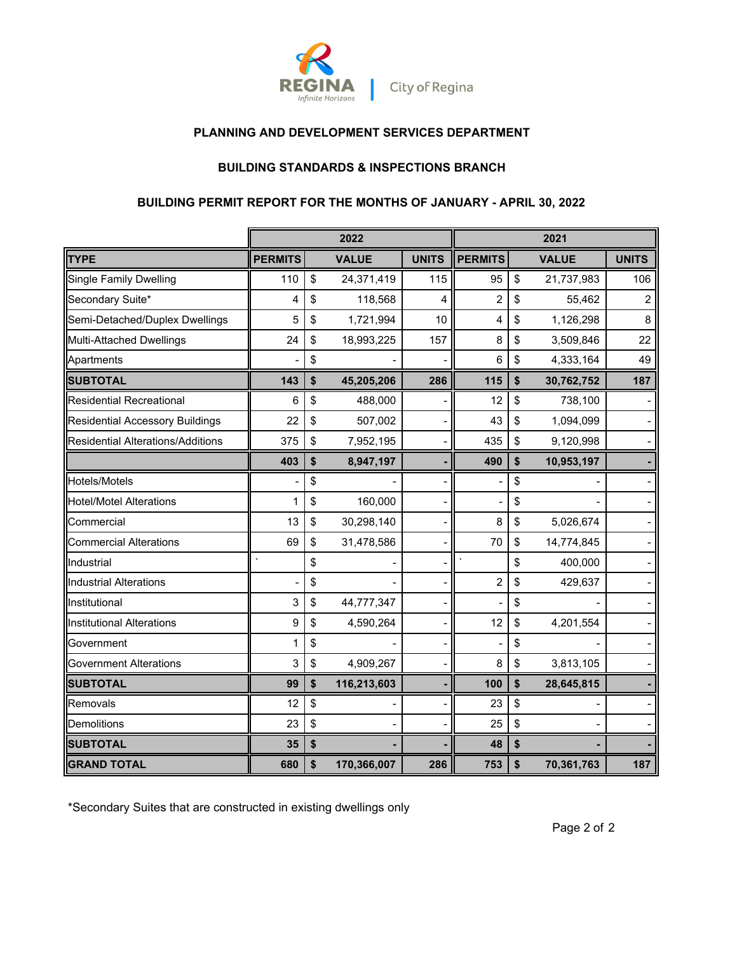

### **PLANNING AND DEVELOPMENT SERVICES DEPARTMENT**

### **BUILDING STANDARDS & INSPECTIONS BRANCH**

### **BUILDING PERMIT REPORT FOR THE MONTHS OF JANUARY - APRIL 30, 2022**

|                                        |                | 2022              |              | 2021           |    |              |              |
|----------------------------------------|----------------|-------------------|--------------|----------------|----|--------------|--------------|
| TYPE                                   | <b>PERMITS</b> | <b>VALUE</b>      | <b>UNITS</b> | <b>PERMITS</b> |    | <b>VALUE</b> | <b>UNITS</b> |
| <b>Single Family Dwelling</b>          | 110            | \$<br>24,371,419  | 115          | 95             | \$ | 21,737,983   | 106          |
| Secondary Suite*                       | 4              | \$<br>118,568     | 4            | $\overline{c}$ | \$ | 55,462       | 2            |
| Semi-Detached/Duplex Dwellings         | 5              | \$<br>1,721,994   | 10           | 4              | \$ | 1,126,298    | 8            |
| Multi-Attached Dwellings               | 24             | \$<br>18,993,225  | 157          | 8              | \$ | 3,509,846    | 22           |
| Apartments                             |                | \$                |              | 6              | \$ | 4,333,164    | 49           |
| <b>SUBTOTAL</b>                        | 143            | \$<br>45,205,206  | 286          | 115            | \$ | 30,762,752   | 187          |
| <b>Residential Recreational</b>        | 6              | \$<br>488,000     |              | 12             | \$ | 738,100      |              |
| <b>Residential Accessory Buildings</b> | 22             | \$<br>507,002     |              | 43             | \$ | 1,094,099    |              |
| Residential Alterations/Additions      | 375            | \$<br>7,952,195   | -            | 435            | \$ | 9,120,998    |              |
|                                        | 403            | \$<br>8,947,197   |              | 490            | \$ | 10,953,197   |              |
| Hotels/Motels                          |                | \$                |              |                | \$ |              |              |
| <b>Hotel/Motel Alterations</b>         | 1              | \$<br>160,000     |              |                | \$ |              |              |
| Commercial                             | 13             | \$<br>30,298,140  |              | 8              | \$ | 5,026,674    |              |
| <b>Commercial Alterations</b>          | 69             | \$<br>31,478,586  |              | 70             | \$ | 14,774,845   |              |
| Industrial                             |                | \$                |              |                | \$ | 400,000      |              |
| Industrial Alterations                 |                | \$                |              | $\overline{2}$ | \$ | 429,637      |              |
| Institutional                          | 3              | \$<br>44,777,347  |              |                | \$ |              |              |
| Institutional Alterations              | 9              | \$<br>4,590,264   |              | 12             | \$ | 4,201,554    |              |
| Government                             | 1              | \$                |              |                | \$ |              |              |
| <b>Government Alterations</b>          | 3              | \$<br>4,909,267   |              | 8              | \$ | 3,813,105    |              |
| <b>SUBTOTAL</b>                        | 99             | \$<br>116,213,603 |              | 100            | \$ | 28,645,815   |              |
| Removals                               | 12             | \$                |              | 23             | \$ |              |              |
| Demolitions                            | 23             | \$                |              | 25             | \$ |              |              |
| <b>SUBTOTAL</b>                        | 35             | \$                |              | 48             | \$ |              |              |
| <b>GRAND TOTAL</b>                     | 680            | \$<br>170,366,007 | 286          | 753            | \$ | 70,361,763   | 187          |

\*Secondary Suites that are constructed in existing dwellings only

Page 2 of 2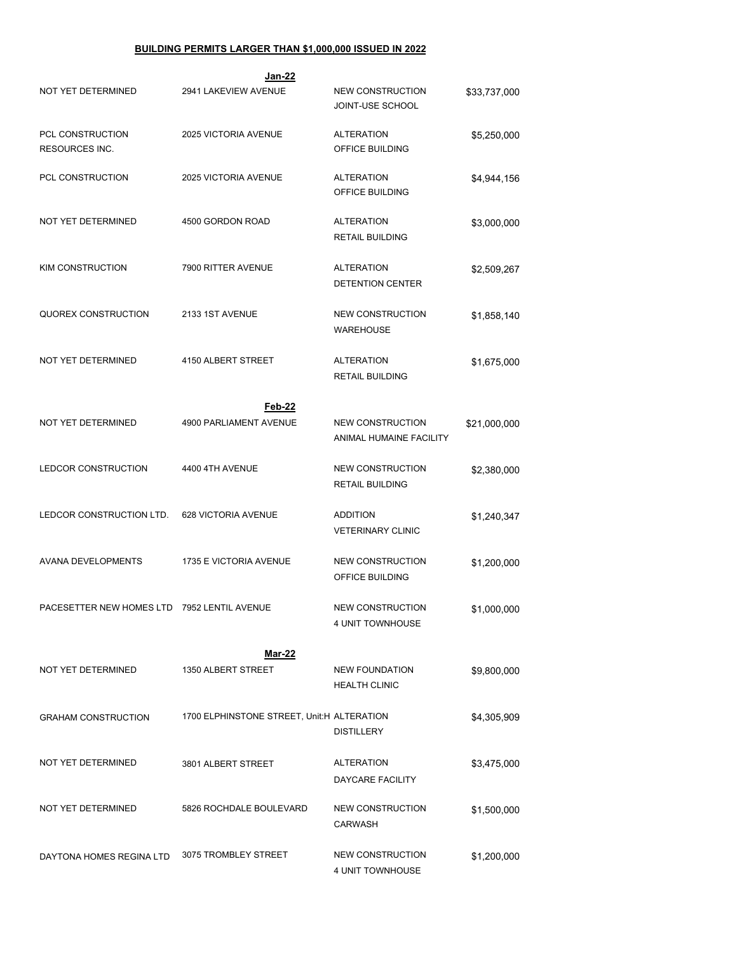#### **BUILDING PERMITS LARGER THAN \$1,000,000 ISSUED IN 2022**

| Jan-22                                      |                                            |                                                    |              |  |  |  |  |  |  |
|---------------------------------------------|--------------------------------------------|----------------------------------------------------|--------------|--|--|--|--|--|--|
| <b>NOT YET DETERMINED</b>                   | 2941 LAKEVIEW AVENUE                       | <b>NEW CONSTRUCTION</b><br><b>JOINT-USE SCHOOL</b> | \$33,737,000 |  |  |  |  |  |  |
| PCL CONSTRUCTION<br>RESOURCES INC.          | 2025 VICTORIA AVENUE                       | <b>ALTERATION</b><br>OFFICE BUILDING               | \$5,250,000  |  |  |  |  |  |  |
| PCL CONSTRUCTION                            | 2025 VICTORIA AVENUE                       | <b>ALTERATION</b><br>OFFICE BUILDING               | \$4,944,156  |  |  |  |  |  |  |
| NOT YET DETERMINED                          | 4500 GORDON ROAD                           | <b>ALTERATION</b><br><b>RETAIL BUILDING</b>        | \$3,000,000  |  |  |  |  |  |  |
| <b>KIM CONSTRUCTION</b>                     | 7900 RITTER AVENUE                         | <b>ALTERATION</b><br><b>DETENTION CENTER</b>       | \$2,509,267  |  |  |  |  |  |  |
| QUOREX CONSTRUCTION                         | 2133 1ST AVENUE                            | <b>NEW CONSTRUCTION</b><br><b>WAREHOUSE</b>        | \$1,858,140  |  |  |  |  |  |  |
| NOT YET DETERMINED                          | 4150 ALBERT STREET                         | <b>ALTERATION</b><br><b>RETAIL BUILDING</b>        | \$1,675,000  |  |  |  |  |  |  |
|                                             | Feb-22                                     |                                                    |              |  |  |  |  |  |  |
| NOT YET DETERMINED                          | 4900 PARLIAMENT AVENUE                     | <b>NEW CONSTRUCTION</b><br>ANIMAL HUMAINE FACILITY | \$21,000,000 |  |  |  |  |  |  |
| LEDCOR CONSTRUCTION                         | 4400 4TH AVENUE                            | <b>NEW CONSTRUCTION</b><br><b>RETAIL BUILDING</b>  | \$2,380,000  |  |  |  |  |  |  |
| LEDCOR CONSTRUCTION LTD.                    | 628 VICTORIA AVENUE                        | <b>ADDITION</b><br><b>VETERINARY CLINIC</b>        | \$1,240,347  |  |  |  |  |  |  |
| <b>AVANA DEVELOPMENTS</b>                   | 1735 E VICTORIA AVENUE                     | <b>NEW CONSTRUCTION</b><br>OFFICE BUILDING         | \$1,200,000  |  |  |  |  |  |  |
| PACESETTER NEW HOMES LTD 7952 LENTIL AVENUE |                                            | NEW CONSTRUCTION<br><b>4 UNIT TOWNHOUSE</b>        | \$1,000,000  |  |  |  |  |  |  |
|                                             | <b>Mar-22</b>                              |                                                    |              |  |  |  |  |  |  |
| NOT YET DETERMINED                          | 1350 ALBERT STREET                         | <b>NEW FOUNDATION</b><br><b>HEALTH CLINIC</b>      | \$9,800,000  |  |  |  |  |  |  |
| <b>GRAHAM CONSTRUCTION</b>                  | 1700 ELPHINSTONE STREET, Unit:H ALTERATION | <b>DISTILLERY</b>                                  | \$4,305,909  |  |  |  |  |  |  |
| NOT YET DETERMINED                          | 3801 ALBERT STREET                         | <b>ALTERATION</b><br><b>DAYCARE FACILITY</b>       | \$3,475,000  |  |  |  |  |  |  |
| NOT YET DETERMINED                          | 5826 ROCHDALE BOULEVARD                    | <b>NEW CONSTRUCTION</b><br><b>CARWASH</b>          | \$1,500,000  |  |  |  |  |  |  |
| DAYTONA HOMES REGINA LTD                    | 3075 TROMBLEY STREET                       | <b>NEW CONSTRUCTION</b><br>4 UNIT TOWNHOUSE        | \$1,200,000  |  |  |  |  |  |  |